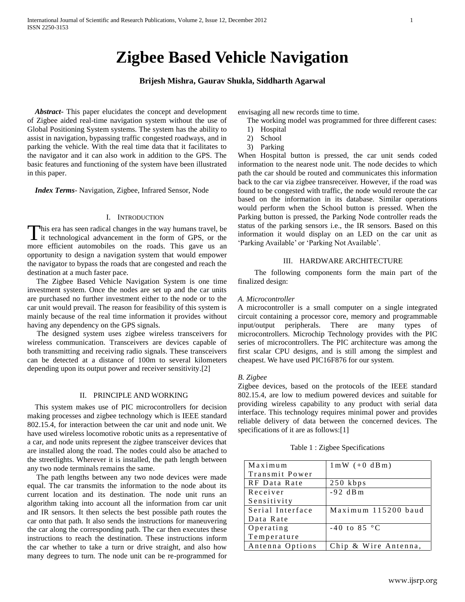# **Zigbee Based Vehicle Navigation**

# **Brijesh Mishra, Gaurav Shukla, Siddharth Agarwal**

 *Abstract***-** This paper elucidates the concept and development of Zigbee aided real-time navigation system without the use of Global Positioning System systems. The system has the ability to assist in navigation, bypassing traffic congested roadways, and in parking the vehicle. With the real time data that it facilitates to the navigator and it can also work in addition to the GPS. The basic features and functioning of the system have been illustrated in this paper.

 *Index Terms*- Navigation, Zigbee, Infrared Sensor, Node

## I. INTRODUCTION

his era has seen radical changes in the way humans travel, be This era has seen radical changes in the way humans travel, be it technological advancement in the form of GPS, or the more efficient automobiles on the roads. This gave us an opportunity to design a navigation system that would empower the navigator to bypass the roads that are congested and reach the destination at a much faster pace.

The Zigbee Based Vehicle Navigation System is one time investment system. Once the nodes are set up and the car units are purchased no further investment either to the node or to the car unit would prevail. The reason for feasibility of this system is mainly because of the real time information it provides without having any dependency on the GPS signals.

 The designed system uses zigbee wireless transceivers for wireless communication. Transceivers are devices capable of both transmitting and receiving radio signals. These transceivers can be detected at a distance of 100m to several kilometers depending upon its output power and receiver sensitivity.[2]

## II. PRINCIPLE AND WORKING

 This system makes use of PIC microcontrollers for decision making processes and zigbee technology which is IEEE standard 802.15.4, for interaction between the car unit and node unit. We have used wireless locomotive robotic units as a representative of a car, and node units represent the zigbee transceiver devices that are installed along the road. The nodes could also be attached to the streetlights. Wherever it is installed, the path length between any two node terminals remains the same.

The path lengths between any two node devices were made equal. The car transmits the information to the node about its current location and its destination. The node unit runs an algorithm taking into account all the information from car unit and IR sensors. It then selects the best possible path routes the car onto that path. It also sends the instructions for maneuvering the car along the corresponding path. The car then executes these instructions to reach the destination. These instructions inform the car whether to take a turn or drive straight, and also how many degrees to turn. The node unit can be re-programmed for envisaging all new records time to time.

- The working model was programmed for three different cases:
- 1) Hospital
- 2) School
- 3) Parking

When Hospital button is pressed, the car unit sends coded information to the nearest node unit. The node decides to which path the car should be routed and communicates this information back to the car via zigbee transreceiver. However, if the road was found to be congested with traffic, the node would reroute the car based on the information in its database. Similar operations would perform when the School button is pressed. When the Parking button is pressed, the Parking Node controller reads the status of the parking sensors i.e., the IR sensors. Based on this information it would display on an LED on the car unit as 'Parking Available' or 'Parking Not Available'.

#### III. HARDWARE ARCHITECTURE

 The following components form the main part of the finalized design:

#### *A. Microcontroller*

A microcontroller is a small computer on a single integrated circuit containing a processor core, memory and programmable input/output peripherals. There are many types of microcontrollers. Microchip Technology provides with the PIC series of microcontrollers. The PIC architecture was among the first scalar CPU designs, and is still among the simplest and cheapest. We have used PIC16F876 for our system.

## *B. Zigbee*

Zigbee devices, based on the protocols of the IEEE standard 802.15.4, are low to medium powered devices and suitable for providing wireless capability to any product with serial data interface. This technology requires minimal power and provides reliable delivery of data between the concerned devices. The specifications of it are as follows:[1]

|  | Table 1 : Zigbee Specifications |  |
|--|---------------------------------|--|
|  |                                 |  |

| Maximum          | $1 \text{ mW} (+0 \text{ dBm})$ |
|------------------|---------------------------------|
| Transmit Power   |                                 |
| RF Data Rate     | $250$ kbps                      |
| Receiver         | $-92$ dBm                       |
| Sensitivity      |                                 |
| Serial Interface | Maximum 115200 baud             |
| Data Rate        |                                 |
| Operating        | $-40$ to $85$ °C                |
| Temperature      |                                 |
| Antenna Options  | Chip & Wire Antenna,            |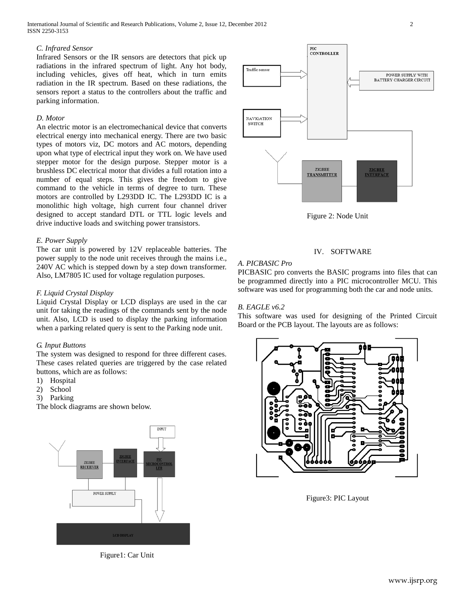International Journal of Scientific and Research Publications, Volume 2, Issue 12, December 2012 2 ISSN 2250-3153

## *C. Infrared Sensor*

Infrared Sensors or the IR sensors are detectors that pick up radiations in the infrared spectrum of light. Any hot body, including vehicles, gives off heat, which in turn emits radiation in the IR spectrum. Based on these radiations, the sensors report a status to the controllers about the traffic and parking information.

#### *D. Motor*

An electric motor is an electromechanical device that converts electrical energy into mechanical energy. There are two basic types of motors viz, DC motors and AC motors, depending upon what type of electrical input they work on. We have used stepper motor for the design purpose. Stepper motor is a brushless DC electrical motor that divides a full rotation into a number of equal steps. This gives the freedom to give command to the vehicle in terms of degree to turn. These motors are controlled by L293DD IC. The L293DD IC is a monolithic high voltage, high current four channel driver designed to accept standard DTL or TTL logic levels and drive inductive loads and switching power transistors.

#### *E. Power Supply*

The car unit is powered by 12V replaceable batteries. The power supply to the node unit receives through the mains i.e., 240V AC which is stepped down by a step down transformer. Also, LM7805 IC used for voltage regulation purposes.

## *F. Liquid Crystal Display*

Liquid Crystal Display or LCD displays are used in the car unit for taking the readings of the commands sent by the node unit. Also, LCD is used to display the parking information when a parking related query is sent to the Parking node unit.

#### *G. Input Buttons*

The system was designed to respond for three different cases. These cases related queries are triggered by the case related buttons, which are as follows:

- 1) Hospital
- 2) School
- 3) Parking

The block diagrams are shown below.



Figure1: Car Unit



Figure 2: Node Unit

#### IV. SOFTWARE

## *A. PICBASIC Pro*

PICBASIC pro converts the BASIC programs into files that can be programmed directly into a PIC microcontroller MCU. This software was used for programming both the car and node units.

## *B. EAGLE v6.2*

This software was used for designing of the Printed Circuit Board or the PCB layout. The layouts are as follows:



Figure3: PIC Layout